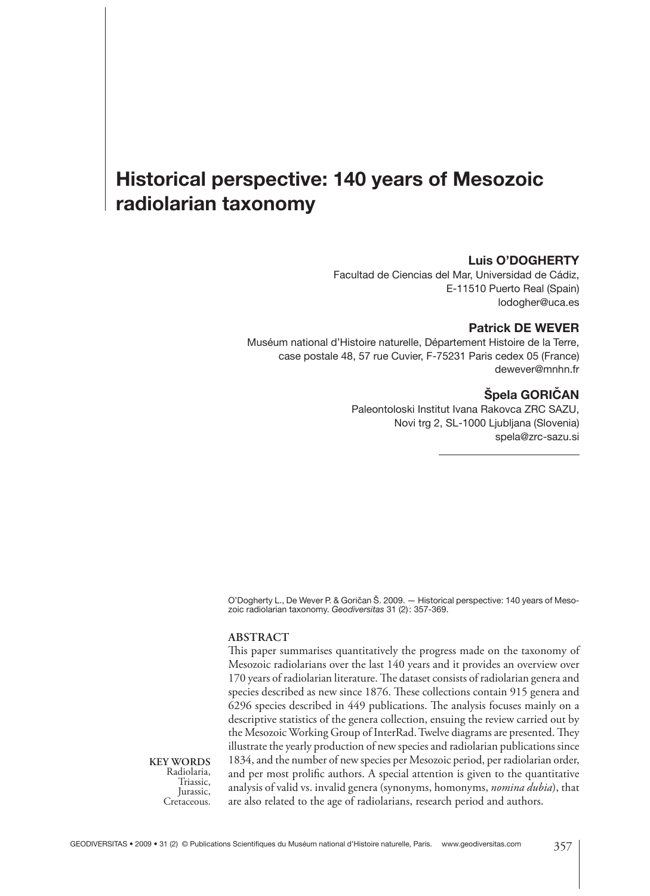# **Historical perspective: 140 years of Mesozoic radio larian taxonomy**

# **Luis O'DOGHERTY**

Facultad de Ciencias del Mar, Universidad de Cádiz, E-11510 Puerto Real (Spain) lodogher@uca.es

#### **Patrick DE WEVER**

Muséum national d'Histoire naturelle, Département Histoire de la Terre, case postale 48, 57 rue Cuvier, F-75231 Paris cedex 05 (France) dewever@mnhn.fr

# $\angle$ **Špela GORICAN**

Paleontoloski Institut Ivana Rakovca ZRC SAZU, Novi trg 2, SL-1000 Ljubljana (Slovenia) spela@zrc-sazu.si

O'Dogherty L., De Wever P. & Goričan Š. 2009. — Historical perspective: 140 years of Mesozoic radio larian taxonomy. *Geodiversitas* 31 (2) : 357-369.

#### **ABSTRACT**

This paper summarises quantitatively the progress made on the taxonomy of Mesozoic radiolarians over the last 140 years and it provides an overview over 170 years of radiolarian literature. The dataset consists of radiolarian genera and species described as new since 1876. These collections contain 915 genera and 6296 species described in 449 publications. The analysis focuses mainly on a descriptive statistics of the genera collection, ensuing the review carried out by the Mesozoic Working Group of InterRad. Twelve diagrams are presented. They illustrate the yearly production of new species and radiolarian publications since 1834, and the number of new species per Mesozoic period, per radiolarian order, and per most prolific authors. A special attention is given to the quantitative analysis of valid vs. invalid genera (synonyms, homonyms, *nomina dubia*), that are also related to the age of radiolarians, research period and authors.

**KEY WORDS** Radiolaria, Triassic, Jurassic, Cretaceous.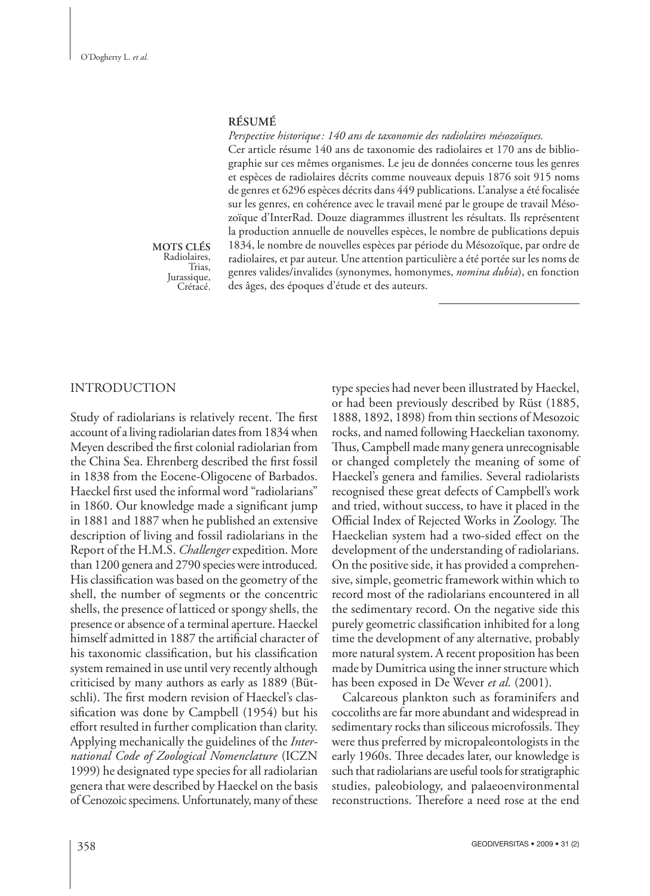### **RÉSUMÉ**

*Perspective historique : 140 ans de taxonomie des radio laires mésozoïques.* Cer article résume 140 ans de taxonomie des radiolaires et 170 ans de bibliographie sur ces mêmes organismes. Le jeu de données concerne tous les genres et espèces de radiolaires décrits comme nouveaux depuis 1876 soit 915 noms de genres et 6296 espèces décrits dans 449 publications. L'analyse a été focalisée sur les genres, en cohérence avec le travail mené par le groupe de travail Mésozoïque d'InterRad. Douze diagrammes illustrent les résultats. Ils représentent la production annuelle de nouvelles espèces, le nombre de publications depuis 1834, le nombre de nouvelles espèces par période du Mésozoïque, par ordre de radiolaires, et par auteur. Une attention particulière a été portée sur les noms de genres valides/invalides (synonymes, homonymes, *nomina dubia*), en fonction des âges, des époques d'étude et des auteurs.

#### **MOTS CLÉS** Radiolaires, Trias, Jurassique, Crétacé.

## INTRODUCTION

Study of radiolarians is relatively recent. The first account of a living radiolarian dates from 1834 when Meyen described the first colonial radiolarian from the China Sea. Ehrenberg described the first fossil in 1838 from the Eocene-Oligocene of Barbados. Haeckel first used the informal word "radiolarians" in 1860. Our knowledge made a significant jump in 1881 and 1887 when he published an extensive description of living and fossil radiolarians in the Report of the H.M.S. *Challenger* expedition. More than 1200 genera and 2790 species were introduced. His classification was based on the geometry of the shell, the number of segments or the concentric shells, the presence of latticed or spongy shells, the presence or absence of a terminal aperture. Haeckel himself admitted in 1887 the artificial character of his taxonomic classification, but his classification system remained in use until very recently although criticised by many authors as early as 1889 (Bütschli). The first modern revision of Haeckel's classification was done by Campbell (1954) but his effort resulted in further complication than clarity. Applying mechanically the guidelines of the *International Code of Zoological Nomenclature* (ICZN 1999) he designated type species for all radiolarian genera that were described by Haeckel on the basis of Cenozoic specimens. Unfortunately, many of these

type species had never been illustrated by Haeckel, or had been previously described by Rüst (1885, 1888, 1892, 1898) from thin sections of Mesozoic rocks, and named following Haeckelian taxonomy. Thus, Campbell made many genera unrecognisable or changed completely the meaning of some of Haeckel's genera and families. Several radiolarists recognised these great defects of Campbell's work and tried, without success, to have it placed in the Official Index of Rejected Works in Zoology. The Haeckelian system had a two-sided effect on the development of the understanding of radiolarians. On the positive side, it has provided a comprehensive, simple, geometric framework within which to record most of the radiolarians encountered in all the sedimentary record. On the negative side this purely geometric classification inhibited for a long time the development of any alternative, probably more natural system. A recent proposition has been made by Dumitrica using the inner structure which has been exposed in De Wever *et al.* (2001).

Calcareous plankton such as foraminifers and coccoliths are far more abundant and widespread in sedimentary rocks than siliceous microfossils. They were thus preferred by micropaleontologists in the early 1960s. Three decades later, our knowledge is such that radiolarians are useful tools for stratigraphic studies, paleobiology, and palaeoenvironmental reconstructions. Therefore a need rose at the end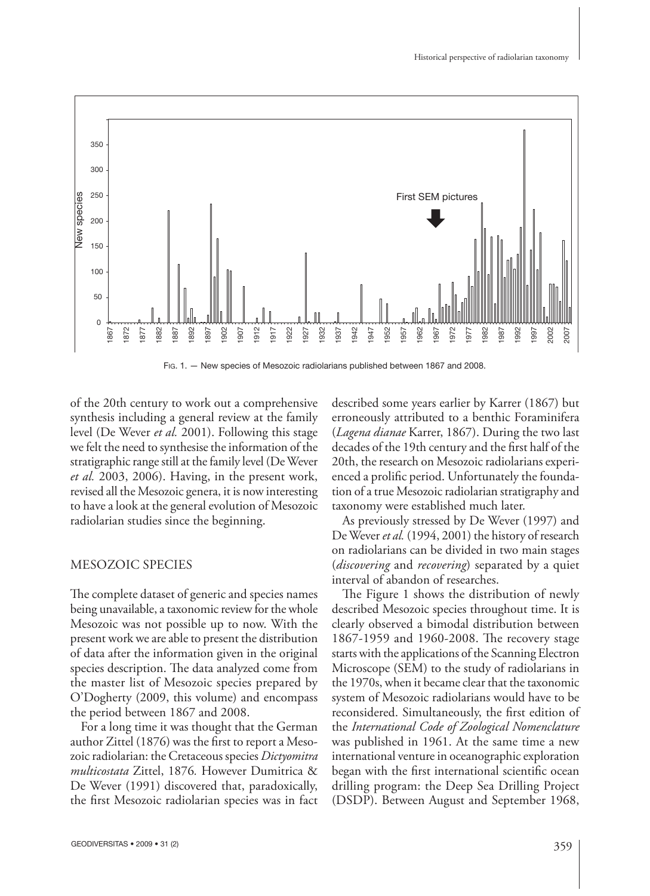

Fig. 1. - New species of Mesozoic radiolarians published between 1867 and 2008.

of the 20th century to work out a comprehensive synthesis including a general review at the family level (De Wever *et al.* 2001). Following this stage we felt the need to synthesise the information of the stratigraphic range still at the family level (De Wever *et al.* 2003, 2006). Having, in the present work, revised all the Mesozoic genera, it is now interesting to have a look at the general evolution of Mesozoic radiolarian studies since the beginning.

## MESOZOIC SPECIES

The complete dataset of generic and species names being unavailable, a taxonomic review for the whole Mesozoic was not possible up to now. With the present work we are able to present the distribution of data after the information given in the original species description. The data analyzed come from the master list of Mesozoic species prepared by O'Dogherty (2009, this volume) and encompass the period between 1867 and 2008.

For a long time it was thought that the German author Zittel  $(1876)$  was the first to report a Mesozoic radio larian: the Cretaceous species *Dictyomitra multicostata* Zittel, 1876*.* However Dumitrica & De Wever (1991) discovered that, paradoxically, the first Mesozoic radiolarian species was in fact

described some years earlier by Karrer (1867) but erroneously attributed to a benthic Foraminifera (*Lagena dianae* Karrer, 1867). During the two last decades of the 19th century and the first half of the 20th, the research on Mesozoic radiolarians experienced a prolific period. Unfortunately the foundation of a true Mesozoic radiolarian stratigraphy and taxonomy were established much later.

As previously stressed by De Wever (1997) and De Wever *et al.* (1994, 2001) the history of research on radiolarians can be divided in two main stages (*discovering* and *recovering*) separated by a quiet interval of abandon of researches.

The Figure 1 shows the distribution of newly described Mesozoic species throughout time. It is clearly observed a bimodal distribution between 1867-1959 and 1960-2008. The recovery stage starts with the applications of the Scanning Electron Microscope (SEM) to the study of radiolarians in the 1970s, when it became clear that the taxonomic system of Mesozoic radiolarians would have to be reconsidered. Simultaneously, the first edition of the *International Code of Zoological Nomenclature*  was published in 1961. At the same time a new international venture in oceanographic exploration began with the first international scientific ocean drilling program: the Deep Sea Drilling Project (DSDP). Between August and September 1968,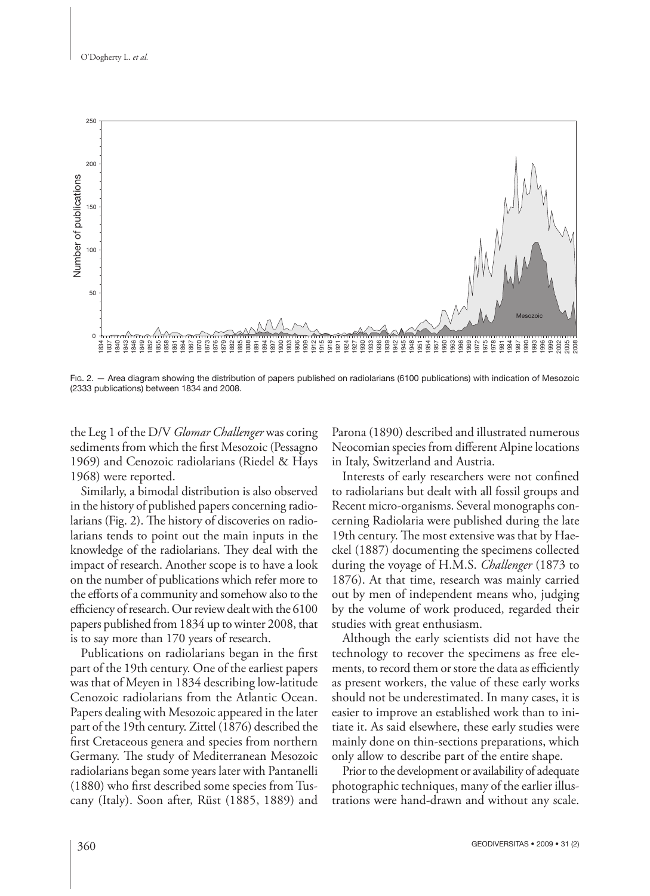O'Dogherty L. *et al.*



FIG. 2. - Area diagram showing the distribution of papers published on radiolarians (6100 publications) with indication of Mesozoic (2333 publications) between 1834 and 2008.

the Leg 1 of the D/V *Glomar Challenger* was coring sediments from which the first Mesozoic (Pessagno 1969) and Cenozoic radiolarians (Riedel & Hays 1968) were reported.

Similarly, a bimodal distribution is also observed in the history of published papers concerning radiolarians (Fig. 2). The history of discoveries on radiolarians tends to point out the main inputs in the knowledge of the radiolarians. They deal with the impact of research. Another scope is to have a look on the number of publications which refer more to the efforts of a community and somehow also to the efficiency of research. Our review dealt with the 6100 papers published from 1834 up to winter 2008, that is to say more than 170 years of research.

Publications on radiolarians began in the first part of the 19th century. One of the earliest papers was that of Meyen in 1834 describing low-latitude Cenozoic radiolarians from the Atlantic Ocean. Papers dealing with Mesozoic appeared in the later part of the 19th century. Zittel (1876) described the first Cretaceous genera and species from northern Germany. The study of Mediterranean Mesozoic radio larians began some years later with Pantanelli (1880) who first described some species from Tuscany (Italy). Soon after, Rüst (1885, 1889) and

Parona (1890) described and illustrated numerous Neocomian species from different Alpine locations in Italy, Switzerland and Austria.

Interests of early researchers were not confined to radiolarians but dealt with all fossil groups and Recent micro-organisms. Several monographs concerning Radiolaria were published during the late 19th century. The most extensive was that by Haeckel (1887) documenting the specimens collected during the voyage of H.M.S. *Challenger* (1873 to 1876). At that time, research was mainly carried out by men of independent means who, judging by the volume of work produced, regarded their studies with great enthusiasm.

Although the early scientists did not have the technology to recover the specimens as free elements, to record them or store the data as efficiently as present workers, the value of these early works should not be underestimated. In many cases, it is easier to improve an established work than to initiate it. As said elsewhere, these early studies were mainly done on thin-sections preparations, which only allow to describe part of the entire shape.

Prior to the development or availability of adequate photographic techniques, many of the earlier illustrations were hand-drawn and without any scale.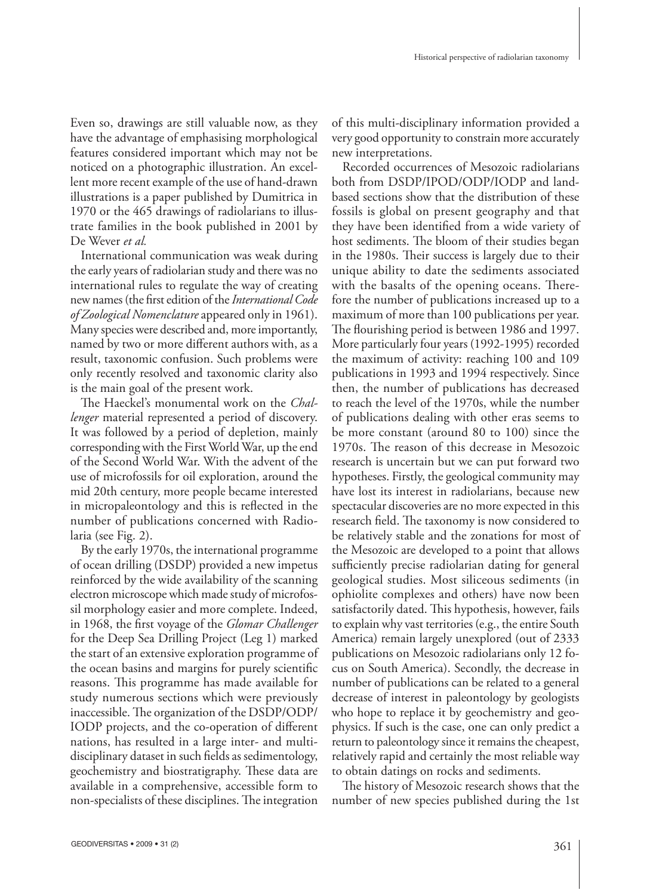Even so, drawings are still valuable now, as they have the advantage of emphasising morphological features considered important which may not be noticed on a photographic illustration. An excellent more recent example of the use of hand-drawn illustrations is a paper published by Dumitrica in 1970 or the 465 drawings of radiolarians to illustrate families in the book published in 2001 by De Wever *et al.*

International communication was weak during the early years of radiolarian study and there was no international rules to regulate the way of creating new names (the first edition of the *International Code of Zoological Nomenclature* appeared only in 1961). Many species were described and, more importantly, named by two or more different authors with, as a result, taxonomic confusion. Such problems were only recently resolved and taxonomic clarity also is the main goal of the present work.

The Haeckel's monumental work on the *Challenger* material represented a period of discovery. It was followed by a period of depletion, mainly corresponding with the First World War, up the end of the Second World War. With the advent of the use of microfossils for oil exploration, around the mid 20th century, more people became interested in micropaleontology and this is reflected in the number of publications concerned with Radiolaria (see Fig. 2).

By the early 1970s, the international programme of ocean drilling (DSDP) provided a new impetus reinforced by the wide availability of the scanning electron microscope which made study of microfossil morphology easier and more complete. Indeed, in 1968, the first voyage of the *Glomar Challenger* for the Deep Sea Drilling Project (Leg 1) marked the start of an extensive exploration programme of the ocean basins and margins for purely scientific reasons. This programme has made available for study numerous sections which were previously inaccessible. The organization of the DSDP/ODP/ IODP projects, and the co-operation of different nations, has resulted in a large inter- and multidisciplinary dataset in such fields as sedimentology, geochemistry and biostratigraphy. These data are available in a comprehensive, accessible form to non-specialists of these disciplines. The integration

of this multi-disciplinary information provided a very good opportunity to constrain more accurately new interpretations.

Recorded occurrences of Mesozoic radiolarians both from DSDP/IPOD/ODP/IODP and landbased sections show that the distribution of these fossils is global on present geography and that they have been identified from a wide variety of host sediments. The bloom of their studies began in the 1980s. Their success is largely due to their unique ability to date the sediments associated with the basalts of the opening oceans. Therefore the number of publications increased up to a maximum of more than 100 publications per year. The flourishing period is between 1986 and 1997. More particularly four years (1992-1995) recorded the maximum of activity: reaching 100 and 109 publications in 1993 and 1994 respectively. Since then, the number of publications has decreased to reach the level of the 1970s, while the number of publications dealing with other eras seems to be more constant (around 80 to 100) since the 1970s. The reason of this decrease in Mesozoic research is uncertain but we can put forward two hypotheses. Firstly, the geological community may have lost its interest in radiolarians, because new spectacular discoveries are no more expected in this research field. The taxonomy is now considered to be relatively stable and the zonations for most of the Mesozoic are developed to a point that allows sufficiently precise radiolarian dating for general geological studies. Most siliceous sediments (in ophiolite complexes and others) have now been satisfactorily dated. This hypothesis, however, fails to explain why vast territories (e.g., the entire South America) remain largely unexplored (out of 2333 publications on Mesozoic radiolarians only 12 focus on South America). Secondly, the decrease in number of publications can be related to a general decrease of interest in paleontology by geologists who hope to replace it by geochemistry and geophysics. If such is the case, one can only predict a return to paleontology since it remains the cheapest, relatively rapid and certainly the most reliable way to obtain datings on rocks and sediments.

The history of Mesozoic research shows that the number of new species published during the 1st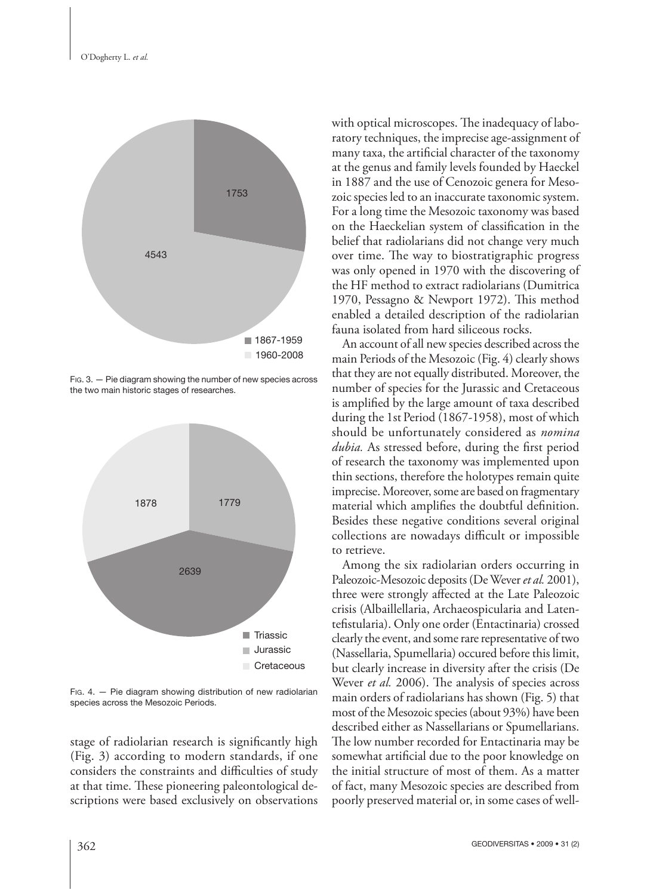

FIG. 3. — Pie diagram showing the number of new species across the two main historic stages of researches.



FIG.  $4. -$  Pie diagram showing distribution of new radiolarian species across the Mesozoic Periods.

stage of radiolarian research is significantly high (Fig. 3) according to modern standards, if one considers the constraints and difficulties of study at that time. These pioneering paleontological descriptions were based exclusively on observations with optical microscopes. The inadequacy of laboratory techniques, the imprecise age-assignment of many taxa, the artificial character of the taxonomy at the genus and family levels founded by Haeckel in 1887 and the use of Cenozoic genera for Mesozoic species led to an inaccurate taxonomic system. For a long time the Mesozoic taxonomy was based on the Haeckelian system of classification in the belief that radiolarians did not change very much over time. The way to biostratigraphic progress was only opened in 1970 with the discovering of the HF method to extract radiolarians (Dumitrica 1970, Pessagno & Newport 1972). This method enabled a detailed description of the radiolarian fauna isolated from hard siliceous rocks.

An account of all new species described across the main Periods of the Mesozoic (Fig. 4) clearly shows that they are not equally distributed. Moreover, the number of species for the Jurassic and Cretaceous is amplified by the large amount of taxa described during the 1st Period (1867-1958), most of which should be unfortunately considered as *nomina dubia*. As stressed before, during the first period of research the taxonomy was implemented upon thin sections, therefore the holotypes remain quite imprecise. Moreover, some are based on fragmentary material which amplifies the doubtful definition. Besides these negative conditions several original collections are nowadays difficult or impossible to retrieve.

Among the six radiolarian orders occurring in Paleozoic-Mesozoic deposits (De Wever *et al.* 2001), three were strongly affected at the Late Paleozoic crisis (Albaillellaria, Archaeospicularia and Latentefistularia). Only one order (Entactinaria) crossed clearly the event, and some rare representative of two (Nassellaria, Spumellaria) occured before this limit, but clearly increase in diversity after the crisis (De Wever *et al.* 2006). The analysis of species across main orders of radiolarians has shown (Fig. 5) that most of the Mesozoic species (about 93%) have been described either as Nassellarians or Spumellarians. The low number recorded for Entactinaria may be somewhat artificial due to the poor knowledge on the initial structure of most of them. As a matter of fact, many Mesozoic species are described from poorly preserved material or, in some cases of well-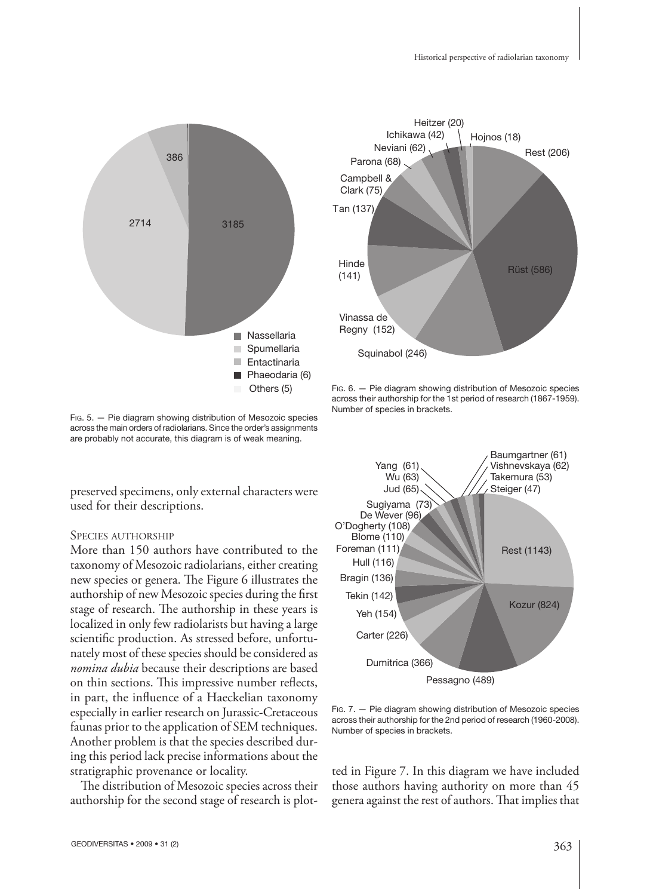

Fig. 5. - Pie diagram showing distribution of Mesozoic species across the main orders of radiolarians. Since the order's assignments are probably not accurate, this diagram is of weak meaning.

used for their descriptions.

# SPECIES AUTHORSHIP

More than 150 authors have contributed to the taxonomy of Mesozoic radiolarians, either creating new species or genera. The Figure 6 illustrates the authorship of new Mesozoic species during the first stage of research. The authorship in these years is localized in only few radiolarists but having a large scientific production. As stressed before, unfortunately most of these species should be considered as *nomina dubia* because their descriptions are based on thin sections. This impressive number reflects, in part, the influence of a Haeckelian taxonomy especially in earlier research on Jurassic-Cretaceous faunas prior to the application of SEM techniques. Another problem is that the species described during this period lack precise informations about the stratigraphic provenance or locality.

The distribution of Mesozoic species across their authorship for the second stage of research is plot-



FIG. 6. — Pie diagram showing distribution of Mesozoic species across their authorship for the 1st period of research (1867-1959). Number of species in brackets.



Fig. 7. - Pie diagram showing distribution of Mesozoic species across their authorship for the 2nd period of research (1960-2008). Number of species in brackets.

ted in Figure 7. In this diagram we have included those authors having authority on more than 45 genera against the rest of authors. That implies that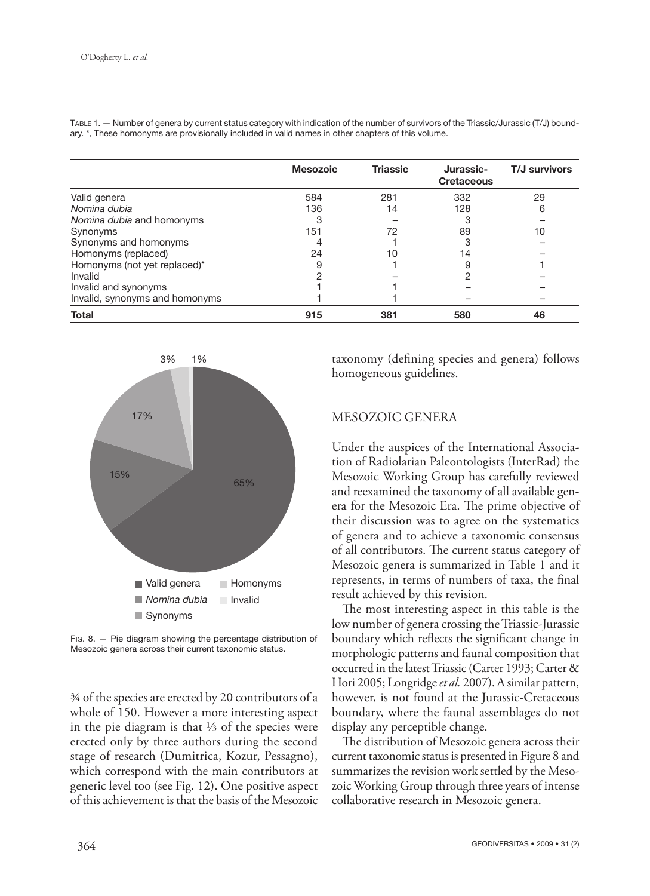|                                | <b>Mesozoic</b> | <b>Triassic</b> | Jurassic-<br><b>Cretaceous</b> | T/J survivors |
|--------------------------------|-----------------|-----------------|--------------------------------|---------------|
| Valid genera                   | 584             | 281             | 332                            | 29            |
| Nomina dubia                   | 136             | 14              | 128                            | 6             |
| Nomina dubia and homonyms      | 3               |                 | 3                              |               |
| Synonyms                       | 151             | 72              | 89                             | 10            |
| Synonyms and homonyms          | 4               |                 | 3                              |               |
| Homonyms (replaced)            | 24              | 10              | 14                             |               |
| Homonyms (not yet replaced)*   | 9               |                 | 9                              |               |
| Invalid                        | ο               |                 | ⌒                              |               |
| Invalid and synonyms           |                 |                 |                                |               |
| Invalid, synonyms and homonyms |                 |                 |                                |               |
| <b>Total</b>                   | 915             | 381             | 580                            | 46            |

TABLE 1. — Number of genera by current status category with indication of the number of survivors of the Triassic/Jurassic (T/J) boundary. \*, These homonyms are provisionally included in valid names in other chapters of this volume.



FIG. 8. — Pie diagram showing the percentage distribution of Mesozoic genera across their current taxonomic status.

¾ of the species are erected by 20 contributors of a whole of 150. However a more interesting aspect in the pie diagram is that ⅓ of the species were erected only by three authors during the second stage of research (Dumitrica, Kozur, Pessagno), which correspond with the main contributors at generic level too (see Fig. 12). One positive aspect of this achievement is that the basis of the Mesozoic

taxonomy (defining species and genera) follows homogeneous guidelines.

# MESOZOIC GENERA

Under the auspices of the International Association of Radiolarian Paleontologists (InterRad) the Mesozoic Working Group has carefully reviewed and reexamined the taxonomy of all available genera for the Mesozoic Era. The prime objective of their discussion was to agree on the systematics of genera and to achieve a taxonomic consensus of all contributors. The current status category of Mesozoic genera is summarized in Table 1 and it represents, in terms of numbers of taxa, the final result achieved by this revision.

The most interesting aspect in this table is the low number of genera crossing the Triassic-Jurassic boundary which reflects the significant change in morphologic patterns and faunal composition that occurred in the latest Triassic (Carter 1993; Carter & Hori 2005; Longridge *et al.* 2007). A similar pattern, however, is not found at the Jurassic-Cretaceous boundary, where the faunal assemblages do not display any perceptible change.

The distribution of Mesozoic genera across their current taxonomic status is presented in Figure 8 and summarizes the revision work settled by the Mesozoic Working Group through three years of intense collaborative research in Mesozoic genera.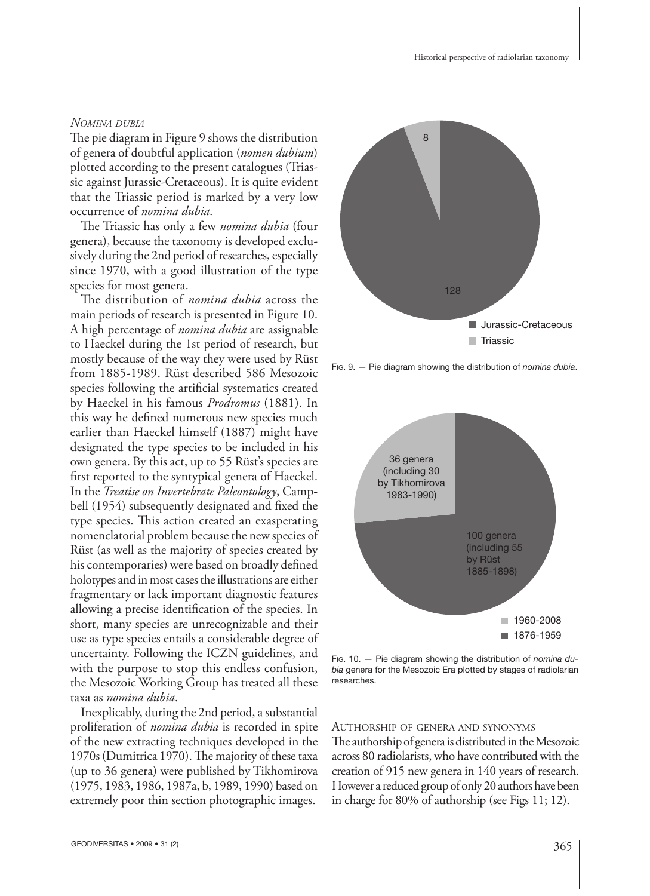#### *NOMINA DUBIA*

The pie diagram in Figure 9 shows the distribution of genera of doubtful application (*nomen dubium*) plotted according to the present catalogues (Triassic against Jurassic-Cretaceous). It is quite evident that the Triassic period is marked by a very low occurrence of *nomina dubia*.

The Triassic has only a few *nomina dubia* (four genera), because the taxonomy is developed exclusively during the 2nd period of researches, especially since 1970, with a good illustration of the type species for most genera.

The distribution of *nomina dubia* across the main periods of research is presented in Figure 10. A high percentage of *nomina dubia* are assignable to Haeckel during the 1st period of research, but mostly because of the way they were used by Rüst from 1885-1989. Rüst described 586 Mesozoic species following the artificial systematics created by Haeckel in his famous *Prodromus* (1881). In this way he defined numerous new species much earlier than Haeckel himself (1887) might have designated the type species to be included in his own genera. By this act, up to 55 Rüst's species are first reported to the syntypical genera of Haeckel. In the *Treatise on Invertebrate Paleontology*, Campbell (1954) subsequently designated and fixed the type species. This action created an exasperating nomenclatorial problem because the new species of Rüst (as well as the majority of species created by his contemporaries) were based on broadly defined holotypes and in most cases the illustrations are either fragmentary or lack important diagnostic features allowing a precise identification of the species. In short, many species are unrecognizable and their use as type species entails a considerable degree of uncertainty. Following the ICZN guidelines, and with the purpose to stop this endless confusion, the Mesozoic Working Group has treated all these taxa as *nomina dubia*.

Inexplicably, during the 2nd period, a substantial proliferation of *nomina dubia* is recorded in spite of the new extracting techniques developed in the 1970s (Dumitrica 1970). The majority of these taxa (up to 36 genera) were published by Tikhomirova (1975, 1983, 1986, 1987a, b, 1989, 1990) based on extremely poor thin section photographic images.



FIG. 9. — Pie diagram showing the distribution of *nomina dubia*.



FIG. 10. — Pie diagram showing the distribution of *nomina du*bia genera for the Mesozoic Era plotted by stages of radiolarian researches.

#### AUTHORSHIP OF GENERA AND SYNONYMS

The authorship of genera is distributed in the Mesozoic across 80 radiolarists, who have contributed with the creation of 915 new genera in 140 years of research. However a reduced group of only 20 authors have been in charge for 80% of authorship (see Figs 11; 12).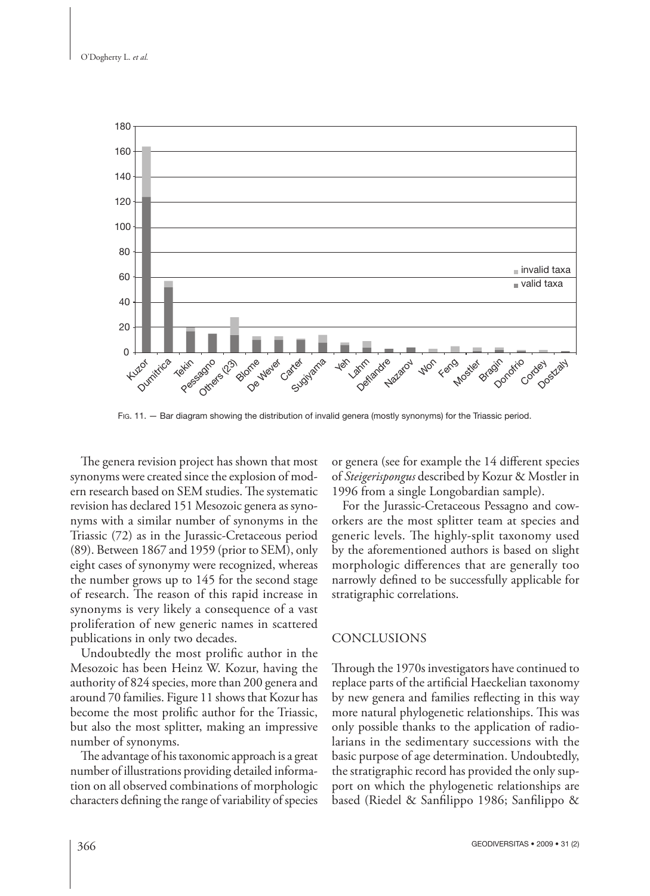

FIG. 11. — Bar diagram showing the distribution of invalid genera (mostly synonyms) for the Triassic period.

The genera revision project has shown that most synonyms were created since the explosion of modern research based on SEM studies. The systematic revision has declared 151 Mesozoic genera as synonyms with a similar number of synonyms in the Triassic (72) as in the Jurassic-Cretaceous period (89). Between 1867 and 1959 (prior to SEM), only eight cases of synonymy were recognized, whereas the number grows up to 145 for the second stage of research. The reason of this rapid increase in synonyms is very likely a consequence of a vast proliferation of new generic names in scattered publications in only two decades.

Undoubtedly the most prolific author in the Mesozoic has been Heinz W. Kozur, having the authority of 824 species, more than 200 genera and around 70 families. Figure 11 shows that Kozur has become the most prolific author for the Triassic, but also the most splitter, making an impressive number of synonyms.

The advantage of his taxonomic approach is a great number of illustrations providing detailed information on all observed combinations of morphologic characters defining the range of variability of species or genera (see for example the 14 different species of *Steigerispongus* described by Kozur & Mostler in 1996 from a single Longobardian sample).

For the Jurassic-Cretaceous Pessagno and coworkers are the most splitter team at species and generic levels. The highly-split taxonomy used by the aforementioned authors is based on slight morphologic differences that are generally too narrowly defined to be successfully applicable for stratigraphic correlations.

## CONCLUSIONS

Through the 1970s investigators have continued to replace parts of the artificial Haeckelian taxonomy by new genera and families reflecting in this way more natural phylogenetic relationships. This was only possible thanks to the application of radiolarians in the sedimentary successions with the basic purpose of age determination. Undoubtedly, the stratigraphic record has provided the only support on which the phylogenetic relationships are based (Riedel & Sanfilippo 1986; Sanfilippo &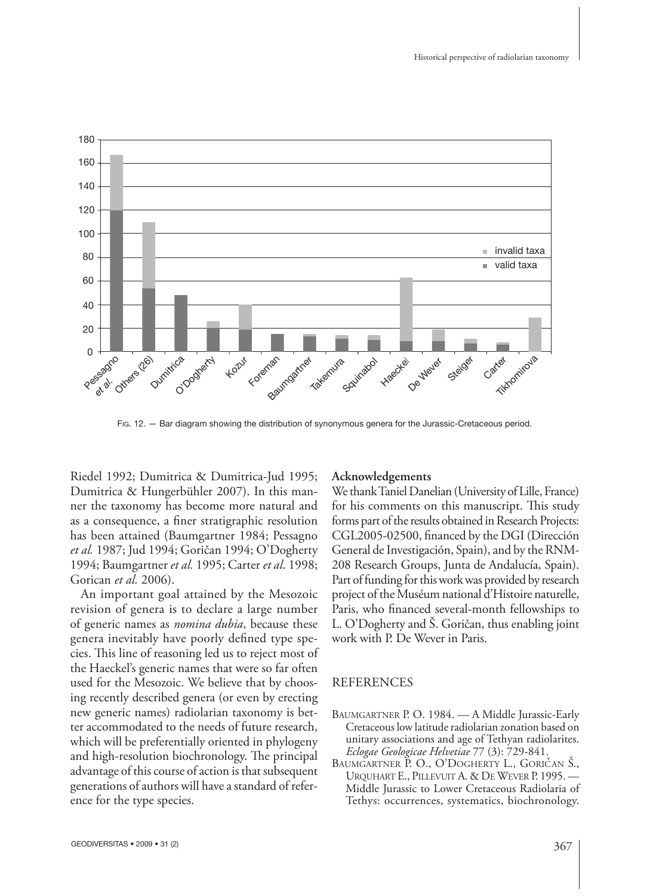

FIG. 12. — Bar diagram showing the distribution of synonymous genera for the Jurassic-Cretaceous period.

Riedel 1992; Dumitrica & Dumitrica-Jud 1995; Dumitrica & Hungerbühler 2007). In this manner the taxonomy has become more natural and as a consequence, a finer stratigraphic resolution has been attained (Baumgartner 1984; Pessagno *et al.* 1987; Jud 1994; Goričan 1994; O'Dogherty 1994; Baumgartner *et al.* 1995; Carter *et al*. 1998; Gorican *et al.* 2006).

An important goal attained by the Mesozoic revision of genera is to declare a large number of generic names as *nomina dubia*, because these genera inevitably have poorly defined type species. This line of reasoning led us to reject most of the Haeckel's generic names that were so far often used for the Mesozoic. We believe that by choosing recently described genera (or even by erecting new generic names) radiolarian taxonomy is better accommodated to the needs of future research, which will be preferentially oriented in phylogeny and high-resolution biochronology. The principal advantage of this course of action is that subsequent generations of authors will have a standard of reference for the type species.

#### **Acknowledgements**

We thank Taniel Danelian (University of Lille, France) for his comments on this manuscript. This study forms part of the results obtained in Research Projects: CGL2005-02500, financed by the DGI (Dirección General de Investigación, Spain), and by the RNM-208 Research Groups, Junta de Andalucía, Spain). Part of funding for this work was provided by research project of the Muséum national d'Histoire naturelle, Paris, who financed several-month fellowships to L. O'Dogherty and Š. Goričan, thus enabling joint work with P. De Wever in Paris.

## REFERENCES

- BAUMGARTNER P.O. 1984. A Middle Jurassic-Early Cretaceous low latitude radiolarian zonation based on unitary associations and age of Tethyan radiolarites. *Eclogae Geologicae Helvetiae* 77 (3): 729-841.
- BAUMGARTNER P. O., O'DOGHERTY L., GORIČAN Š., URQUHART E., PILLEVUIT A. & DE WEVER P. 1995. — Middle Jurassic to Lower Cretaceous Radiolaria of Tethys: occurrences, systematics, biochronology.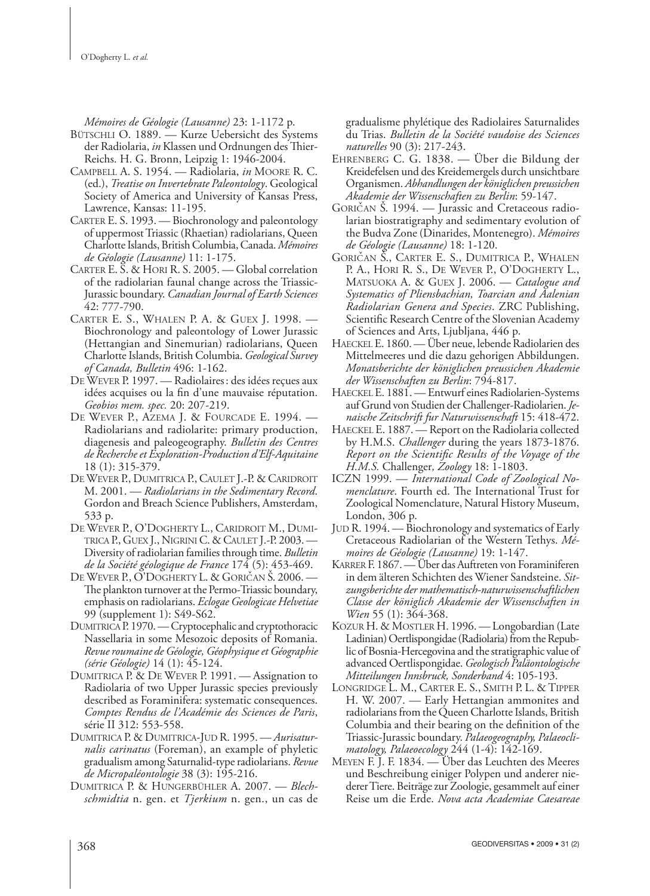*Mémoires de Géologie (Lausanne)* 23: 1-1172 p.

- BÜTSCHLI O. 1889. Kurze Uebersicht des Systems der Radiolaria, *in* Klassen und Ordnungen des Thier-Reichs. H. G. Bronn, Leipzig 1: 1946-2004.
- CAMPBELL A. S. 1954. Radiolaria, *in* MOORE R. C. (ed.), *Treatise on Invertebrate Paleontology*. Geological Society of America and University of Kansas Press, Lawrence, Kansas: 11-195.
- CARTER E. S. 1993. Biochronology and paleontology of uppermost Triassic (Rhaetian) radiolarians, Queen Charlotte Islands, British Columbia, Canada. *Mémoires de Géologie (Lausanne)* 11: 1-175.
- CARTER E. S. & HORI R. S. 2005. Global correlation of the radiolarian faunal change across the Triassic-Jurassic boundary. *Canadian Journal of Earth Sciences*  42: 777-790.
- CARTER E. S., WHALEN P. A. & GUEX J. 1998. Biochronology and paleontology of Lower Jurassic (Hettangian and Sinemurian) radiolarians, Queen Charlotte Islands, British Columbia. *Geological Survey of Canada, Bulletin* 496: 1-162.
- DE WEVER P. 1997. Radiolaires : des idées reçues aux idées acquises ou la fin d'une mauvaise réputation. *Geobios mem. spec.* 20: 207-219.
- DE WEVER P., AZEMA J. & FOURCADE E. 1994. Radiolarians and radiolarite: primary production, diagenesis and paleogeography. *Bulletin des Centres de Recherche et Exploration-Production d'Elf-Aquitaine* 18 (1): 315-379.
- DE WEVER P., DUMITRICA P., CAULET J.-P. & CARIDROIT M. 2001. — *Radio larians in the Sedimentary Record*. Gordon and Breach Science Publishers, Amsterdam, 533 p.
- DE WEVER P., O'DOGHERTY L., CARIDROIT M., DUMI-TRICA P., GUEX J., NIGRINI C. & CAULET J.-P. 2003. — Diversity of radio larian families through time. *Bulletin de la Société géologique de France* 174 (5): 453-469.
- DE WEVER P., O'DOGHERTY L. & GORICAN S. 2006. -The plankton turnover at the Permo-Triassic boundary, emphasis on radio larians. *Eclogae Geologicae Helvetiae* 99 (supplement 1): S49-S62.
- DUMITRICA P. 1970. Cryptocephalic and cryptothoracic Nassellaria in some Mesozoic deposits of Romania. *Revue roumaine de Géologie, Géophysique et Géographie (série Géologie)* 14 (1): 45-124.
- DUMITRICA P. & DE WEVER P. 1991. Assignation to Radiolaria of two Upper Jurassic species previously described as Foraminifera: systematic consequences. *Comptes Rendus de l'Académie des Sciences de Paris*, série II 312: 553-558.
- DUMITRICA P. & DUMITRICA-JUD R. 1995. *Aurisaturnalis carinatus* (Foreman), an example of phyletic gradualism among Saturnalid-type radio larians. *Revue de Micropaléontologie* 38 (3): 195-216.
- DUMITRICA P. & HUNGERBÜHLER A. 2007. *Blechschmidtia* n. gen. et *Tjerkium* n. gen., un cas de

gradualisme phylétique des Radiolaires Saturnalides du Trias. *Bulletin de la Société vaudoise des Sciences naturelles* 90 (3): 217-243.

- EHRENBERG C. G. 1838. Über die Bildung der Kreidefelsen und des Kreidemergels durch unsichtbare Organismen. *Abhandlungen der königlichen preussichen Akademie der Wissenschaften zu Berlin*: 59-147.
- GORICAN S. 1994. Jurassic and Cretaceous radiolarian biostratigraphy and sedimentary evolution of the Budva Zone (Dinarides, Montenegro). *Mémoires de Géologie (Lausanne)* 18: 1-120.
- GORIČAN S., CARTER E. S., DUMITRICA P., WHALEN P. A., HORI R. S., DE WEVER P., O'DOGHERTY L., MATSUOKA A. & GUEX J. 2006. — *Catalogue and Systematics of Pliensbachian, Toarcian and Aalenian Radio larian Genera and Species*. ZRC Publishing, Scientific Research Centre of the Slovenian Academy of Sciences and Arts, Ljubljana, 446 p.
- HAECKEL E. 1860. Über neue, lebende Radiolarien des Mittelmeeres und die dazu gehorigen Abbildungen. *Monatsberichte der königlichen preussichen Akademie der Wissenschaften zu Berlin*: 794-817.
- HAECKEL E. 1881. Entwurf eines Radiolarien-Systems auf Grund von Studien der Challenger-Radio larien. *Jenaische Zeitschrift fur Naturwissenschaft* 15: 418-472.
- HAECKEL E. 1887. Report on the Radiolaria collected by H.M.S. *Challenger* during the years 1873-1876. *Report on the Scientifi c Results of the Voyage of the H.M.S.* Challenger*, Zoology* 18: 1-1803.
- ICZN 1999. — *International Code of Zoological Nomenclature*. Fourth ed. The International Trust for Zoological Nomenclature, Natural History Museum, London, 306 p.
- JUD R. 1994. Biochronology and systematics of Early Cretaceous Radiolarian of the Western Tethys. Mé*moires de Géologie (Lausanne)* 19: 1-147.
- KARRER F. 1867. Über das Auftreten von Foraminiferen in dem älteren Schichten des Wiener Sandsteine. *Sitzungsberichte der mathematisch-naturwissenschaftlichen Classe der königlich Akademie der Wissenschaften in Wien* 55 (1): 364-368.
- KOZUR H. & MOSTLER H. 1996. Longobardian (Late Ladinian) Oertlispongidae (Radiolaria) from the Republic of Bosnia-Hercegovina and the stratigraphic value of advanced Oertlispongidae. *Geologisch Paläontologische Mitteilungen Innsbruck, Sonderband* 4: 105-193.
- LONGRIDGE L. M., CARTER E. S., SMITH P. L. & TIPPER H. W. 2007. — Early Hettangian ammonites and radiolarians from the Queen Charlotte Islands, British Columbia and their bearing on the definition of the Triassic-Jurassic boundary. *Palaeogeography, Palaeoclimatology, Palaeoecology* 244 (1-4): 142-169.
- MEYEN F. J. F. 1834. Über das Leuchten des Meeres und Beschreibung einiger Polypen und anderer niederer Tiere. Beiträge zur Zoologie, gesammelt auf einer Reise um die Erde. *Nova acta Academiae Caesareae*